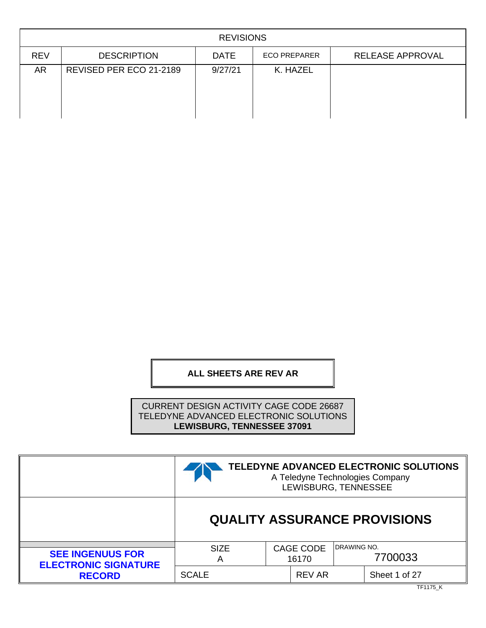|            | <b>REVISIONS</b>        |             |                     |                         |  |  |  |
|------------|-------------------------|-------------|---------------------|-------------------------|--|--|--|
| <b>REV</b> | <b>DESCRIPTION</b>      | <b>DATE</b> | <b>ECO PREPARER</b> | <b>RELEASE APPROVAL</b> |  |  |  |
| AR         | REVISED PER ECO 21-2189 | 9/27/21     | K. HAZEL            |                         |  |  |  |

# **ALL SHEETS ARE REV AR**

CURRENT DESIGN ACTIVITY CAGE CODE 26687 TELEDYNE ADVANCED ELECTRONIC SOLUTIONS **LEWISBURG, TENNESSEE 37091**

|                                                        | TELEDYNE ADVANCED ELECTRONIC SOLUTIONS<br>A Teledyne Technologies Company<br>LEWISBURG, TENNESSEE |  |                           |                    |               |
|--------------------------------------------------------|---------------------------------------------------------------------------------------------------|--|---------------------------|--------------------|---------------|
|                                                        | <b>QUALITY ASSURANCE PROVISIONS</b>                                                               |  |                           |                    |               |
| <b>SEE INGENUUS FOR</b><br><b>ELECTRONIC SIGNATURE</b> | <b>SIZE</b><br>A                                                                                  |  | <b>CAGE CODE</b><br>16170 | <b>DRAWING NO.</b> | 7700033       |
| <b>RECORD</b>                                          | <b>SCALE</b>                                                                                      |  | <b>REV AR</b>             |                    | Sheet 1 of 27 |

TF1175\_K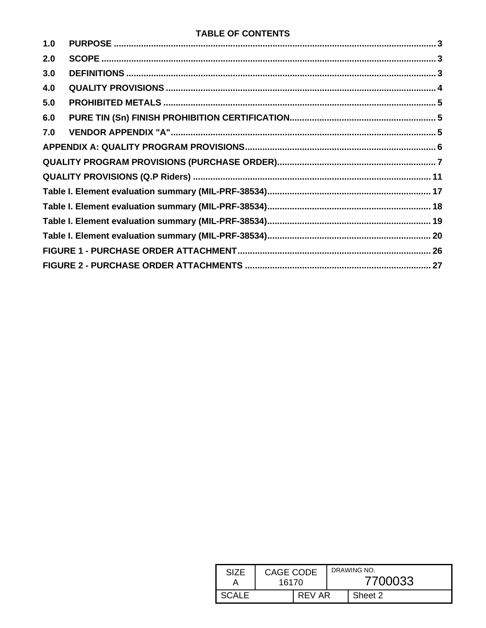# **TABLE OF CONTENTS**

| SIZF  | CAGE CODE<br>16170 |        | DRAWING NO.<br>7700033 |  |  |
|-------|--------------------|--------|------------------------|--|--|
| SCALE |                    | REV AR | Sheet 2                |  |  |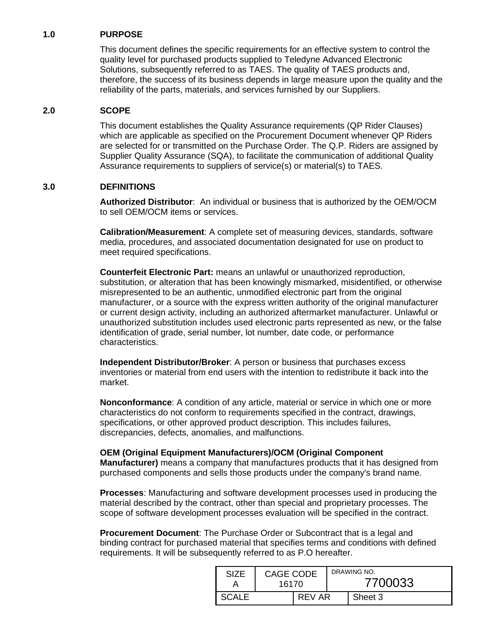### <span id="page-2-0"></span>**1.0 PURPOSE**

This document defines the specific requirements for an effective system to control the quality level for purchased products supplied to Teledyne Advanced Electronic Solutions, subsequently referred to as TAES. The quality of TAES products and, therefore, the success of its business depends in large measure upon the quality and the reliability of the parts, materials, and services furnished by our Suppliers.

### <span id="page-2-1"></span>**2.0 SCOPE**

This document establishes the Quality Assurance requirements (QP Rider Clauses) which are applicable as specified on the Procurement Document whenever QP Riders are selected for or transmitted on the Purchase Order. The Q.P. Riders are assigned by Supplier Quality Assurance (SQA), to facilitate the communication of additional Quality Assurance requirements to suppliers of service(s) or material(s) to TAES.

### <span id="page-2-2"></span>**3.0 DEFINITIONS**

**Authorized Distributor**: An individual or business that is authorized by the OEM/OCM to sell OEM/OCM items or services.

**Calibration/Measurement**: A complete set of measuring devices, standards, software media, procedures, and associated documentation designated for use on product to meet required specifications.

**Counterfeit Electronic Part:** means an unlawful or unauthorized reproduction, substitution, or alteration that has been knowingly mismarked, misidentified, or otherwise misrepresented to be an authentic, unmodified electronic part from the original manufacturer, or a source with the express written authority of the original manufacturer or current design activity, including an authorized aftermarket manufacturer. Unlawful or unauthorized substitution includes used electronic parts represented as new, or the false identification of grade, serial number, lot number, date code, or performance characteristics.

**Independent Distributor/Broker**: A person or business that purchases excess inventories or material from end users with the intention to redistribute it back into the market.

**Nonconformance**: A condition of any article, material or service in which one or more characteristics do not conform to requirements specified in the contract, drawings, specifications, or other approved product description. This includes failures, discrepancies, defects, anomalies, and malfunctions.

### **OEM (Original Equipment Manufacturers)/OCM (Original Component**

**Manufacturer)** means a company that manufactures products that it has designed from purchased components and sells those products under the company's brand name.

**Processes**: Manufacturing and software development processes used in producing the material described by the contract, other than special and proprietary processes. The scope of software development processes evaluation will be specified in the contract.

**Procurement Document**: The Purchase Order or Subcontract that is a legal and binding contract for purchased material that specifies terms and conditions with defined requirements. It will be subsequently referred to as P.O hereafter.

| SI7F         | CAGE CODE<br>16170 |        | DRAWING NO.<br>7700033 |         |  |
|--------------|--------------------|--------|------------------------|---------|--|
| <b>SCALE</b> |                    | REV AR |                        | Sheet 3 |  |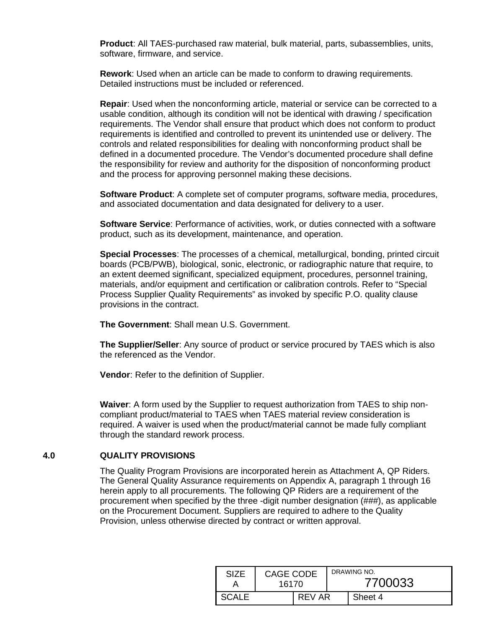**Product**: All TAES-purchased raw material, bulk material, parts, subassemblies, units, software, firmware, and service.

**Rework**: Used when an article can be made to conform to drawing requirements. Detailed instructions must be included or referenced.

**Repair**: Used when the nonconforming article, material or service can be corrected to a usable condition, although its condition will not be identical with drawing / specification requirements. The Vendor shall ensure that product which does not conform to product requirements is identified and controlled to prevent its unintended use or delivery. The controls and related responsibilities for dealing with nonconforming product shall be defined in a documented procedure. The Vendor's documented procedure shall define the responsibility for review and authority for the disposition of nonconforming product and the process for approving personnel making these decisions.

**Software Product**: A complete set of computer programs, software media, procedures, and associated documentation and data designated for delivery to a user.

**Software Service**: Performance of activities, work, or duties connected with a software product, such as its development, maintenance, and operation.

**Special Processes**: The processes of a chemical, metallurgical, bonding, printed circuit boards (PCB/PWB), biological, sonic, electronic, or radiographic nature that require, to an extent deemed significant, specialized equipment, procedures, personnel training, materials, and/or equipment and certification or calibration controls. Refer to "Special Process Supplier Quality Requirements" as invoked by specific P.O. quality clause provisions in the contract.

**The Government**: Shall mean U.S. Government.

**The Supplier/Seller**: Any source of product or service procured by TAES which is also the referenced as the Vendor.

**Vendor**: Refer to the definition of Supplier.

**Waiver**: A form used by the Supplier to request authorization from TAES to ship noncompliant product/material to TAES when TAES material review consideration is required. A waiver is used when the product/material cannot be made fully compliant through the standard rework process.

#### <span id="page-3-0"></span>**4.0 QUALITY PROVISIONS**

The Quality Program Provisions are incorporated herein as Attachment A, QP Riders. The General Quality Assurance requirements on Appendix A, paragraph 1 through 16 herein apply to all procurements. The following QP Riders are a requirement of the procurement when specified by the three -digit number designation (###), as applicable on the Procurement Document. Suppliers are required to adhere to the Quality Provision, unless otherwise directed by contract or written approval.

| SIZF  | CAGE CODE<br>16170 |        | DRAWING NO.<br>7700033 |  |  |
|-------|--------------------|--------|------------------------|--|--|
| SCALE |                    | REV AR | Sheet 4                |  |  |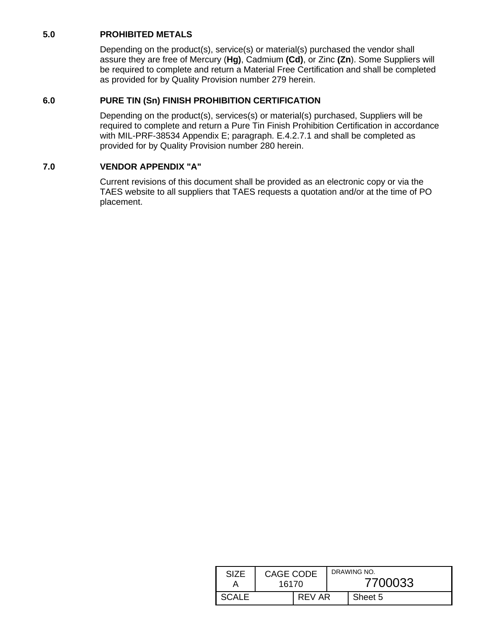## <span id="page-4-0"></span>**5.0 PROHIBITED METALS**

Depending on the product(s), service(s) or material(s) purchased the vendor shall assure they are free of Mercury (**Hg)**, Cadmium **(Cd)**, or Zinc **(Zn**). Some Suppliers will be required to complete and return a Material Free Certification and shall be completed as provided for by Quality Provision number 279 herein.

#### <span id="page-4-1"></span>**6.0 PURE TIN (Sn) FINISH PROHIBITION CERTIFICATION**

Depending on the product(s), services(s) or material(s) purchased, Suppliers will be required to complete and return a Pure Tin Finish Prohibition Certification in accordance with MIL-PRF-38534 Appendix E; paragraph. E.4.2.7.1 and shall be completed as provided for by Quality Provision number 280 herein.

#### <span id="page-4-2"></span>**7.0 VENDOR APPENDIX "A"**

Current revisions of this document shall be provided as an electronic copy or via the TAES website to all suppliers that TAES requests a quotation and/or at the time of PO placement.

| SIZF  | CAGE CODE<br>16170 |        | DRAWING NO.<br>7700033 |         |  |
|-------|--------------------|--------|------------------------|---------|--|
| SCALE |                    | REV AR |                        | Sheet 5 |  |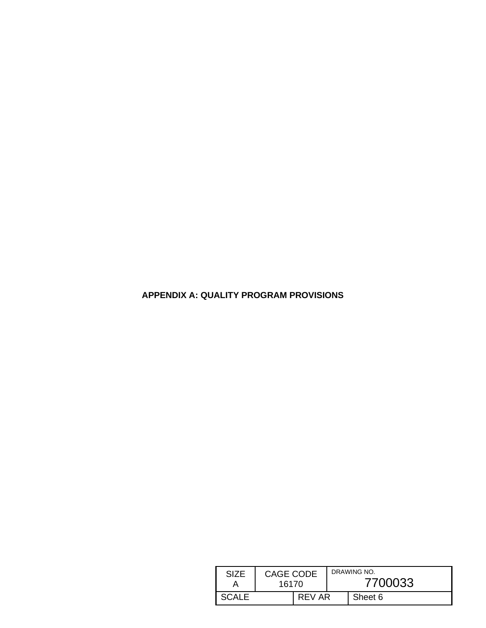<span id="page-5-0"></span>**APPENDIX A: QUALITY PROGRAM PROVISIONS**

| SIZF         | <b>CAGE CODE</b><br>16170 |  | DRAWING NO.<br>7700033 |  |  |
|--------------|---------------------------|--|------------------------|--|--|
| <b>SCALE</b> | REV AR                    |  | Sheet 6                |  |  |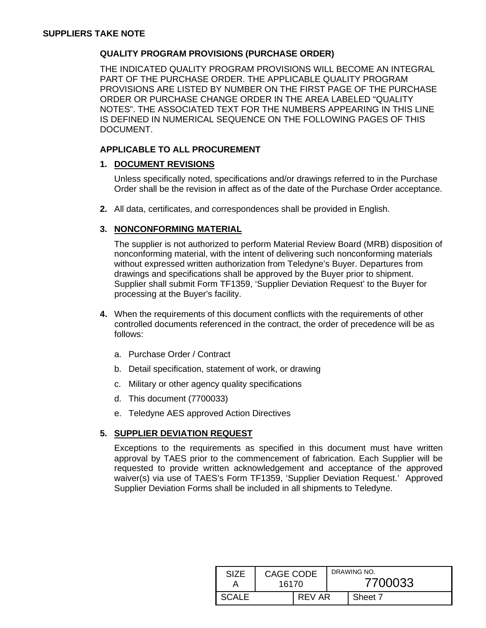#### <span id="page-6-0"></span>**QUALITY PROGRAM PROVISIONS (PURCHASE ORDER)**

THE INDICATED QUALITY PROGRAM PROVISIONS WILL BECOME AN INTEGRAL PART OF THE PURCHASE ORDER. THE APPLICABLE QUALITY PROGRAM PROVISIONS ARE LISTED BY NUMBER ON THE FIRST PAGE OF THE PURCHASE ORDER OR PURCHASE CHANGE ORDER IN THE AREA LABELED "QUALITY NOTES". THE ASSOCIATED TEXT FOR THE NUMBERS APPEARING IN THIS LINE IS DEFINED IN NUMERICAL SEQUENCE ON THE FOLLOWING PAGES OF THIS DOCUMENT.

### **APPLICABLE TO ALL PROCUREMENT**

#### **1. DOCUMENT REVISIONS**

Unless specifically noted, specifications and/or drawings referred to in the Purchase Order shall be the revision in affect as of the date of the Purchase Order acceptance.

**2.** All data, certificates, and correspondences shall be provided in English.

#### **3. NONCONFORMING MATERIAL**

The supplier is not authorized to perform Material Review Board (MRB) disposition of nonconforming material, with the intent of delivering such nonconforming materials without expressed written authorization from Teledyne's Buyer. Departures from drawings and specifications shall be approved by the Buyer prior to shipment. Supplier shall submit Form TF1359, 'Supplier Deviation Request' to the Buyer for processing at the Buyer's facility.

- **4.** When the requirements of this document conflicts with the requirements of other controlled documents referenced in the contract, the order of precedence will be as follows:
	- a. Purchase Order / Contract
	- b. Detail specification, statement of work, or drawing
	- c. Military or other agency quality specifications
	- d. This document (7700033)
	- e. Teledyne AES approved Action Directives

#### **5. SUPPLIER DEVIATION REQUEST**

Exceptions to the requirements as specified in this document must have written approval by TAES prior to the commencement of fabrication. Each Supplier will be requested to provide written acknowledgement and acceptance of the approved waiver(s) via use of TAES's Form TF1359, 'Supplier Deviation Request.' Approved Supplier Deviation Forms shall be included in all shipments to Teledyne.

| <b>SIZE</b> | CAGE CODE<br>16170 |        | DRAWING NO.<br>7700033 |         |  |
|-------------|--------------------|--------|------------------------|---------|--|
| SCALE       |                    | REV AR |                        | Sheet 7 |  |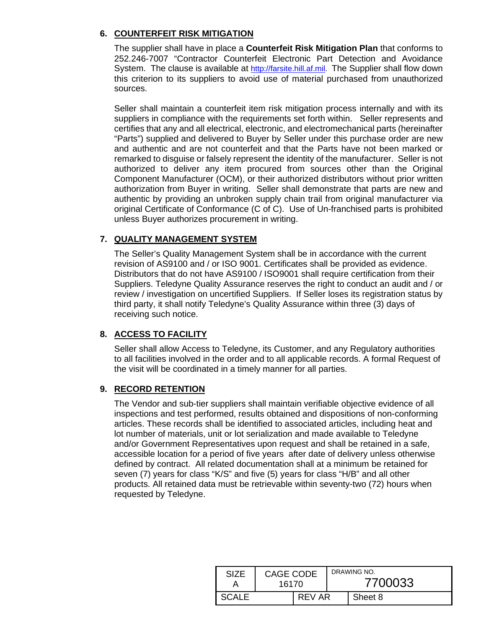### **6. COUNTERFEIT RISK MITIGATION**

The supplier shall have in place a **Counterfeit Risk Mitigation Plan** that conforms to 252.246-7007 "Contractor Counterfeit Electronic Part Detection and Avoidance System. The clause is available at [http://farsite.hill.af.mil.](http://farsite.hill.af.mil/) The Supplier shall flow down this criterion to its suppliers to avoid use of material purchased from unauthorized sources.

Seller shall maintain a counterfeit item risk mitigation process internally and with its suppliers in compliance with the requirements set forth within. Seller represents and certifies that any and all electrical, electronic, and electromechanical parts (hereinafter "Parts") supplied and delivered to Buyer by Seller under this purchase order are new and authentic and are not counterfeit and that the Parts have not been marked or remarked to disguise or falsely represent the identity of the manufacturer. Seller is not authorized to deliver any item procured from sources other than the Original Component Manufacturer (OCM), or their authorized distributors without prior written authorization from Buyer in writing. Seller shall demonstrate that parts are new and authentic by providing an unbroken supply chain trail from original manufacturer via original Certificate of Conformance (C of C). Use of Un-franchised parts is prohibited unless Buyer authorizes procurement in writing.

# **7. QUALITY MANAGEMENT SYSTEM**

The Seller's Quality Management System shall be in accordance with the current revision of AS9100 and / or ISO 9001. Certificates shall be provided as evidence. Distributors that do not have AS9100 / ISO9001 shall require certification from their Suppliers. Teledyne Quality Assurance reserves the right to conduct an audit and / or review / investigation on uncertified Suppliers. If Seller loses its registration status by third party, it shall notify Teledyne's Quality Assurance within three (3) days of receiving such notice.

# **8. ACCESS TO FACILITY**

Seller shall allow Access to Teledyne, its Customer, and any Regulatory authorities to all facilities involved in the order and to all applicable records. A formal Request of the visit will be coordinated in a timely manner for all parties.

# **9. RECORD RETENTION**

The Vendor and sub-tier suppliers shall maintain verifiable objective evidence of all inspections and test performed, results obtained and dispositions of non-conforming articles. These records shall be identified to associated articles, including heat and lot number of materials, unit or lot serialization and made available to Teledyne and/or Government Representatives upon request and shall be retained in a safe, accessible location for a period of five years after date of delivery unless otherwise defined by contract. All related documentation shall at a minimum be retained for seven (7) years for class "K/S" and five (5) years for class "H/B" and all other products. All retained data must be retrievable within seventy-two (72) hours when requested by Teledyne.

| SIZF    | <b>CAGE CODE</b><br>16170 |        | DRAWING NO.<br>7700033 |         |  |
|---------|---------------------------|--------|------------------------|---------|--|
| SCALE - |                           | REV AR |                        | Sheet 8 |  |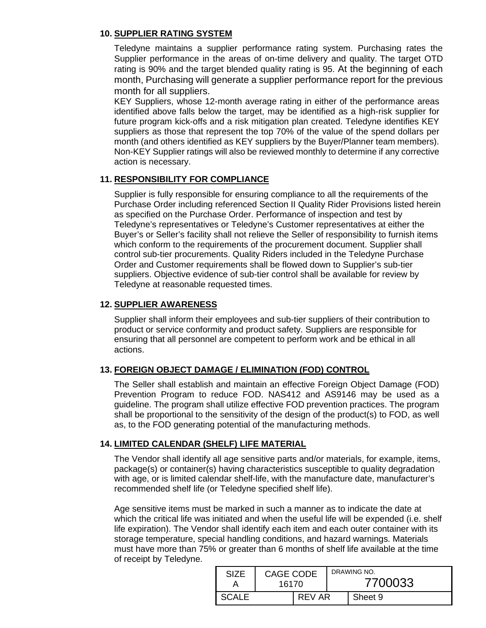### **10. SUPPLIER RATING SYSTEM**

Teledyne maintains a supplier performance rating system. Purchasing rates the Supplier performance in the areas of on-time delivery and quality. The target OTD rating is 90% and the target blended quality rating is 95. At the beginning of each month, Purchasing will generate a supplier performance report for the previous month for all suppliers.

KEY Suppliers, whose 12-month average rating in either of the performance areas identified above falls below the target, may be identified as a high-risk supplier for future program kick-offs and a risk mitigation plan created. Teledyne identifies KEY suppliers as those that represent the top 70% of the value of the spend dollars per month (and others identified as KEY suppliers by the Buyer/Planner team members). Non-KEY Supplier ratings will also be reviewed monthly to determine if any corrective action is necessary.

#### **11. RESPONSIBILITY FOR COMPLIANCE**

Supplier is fully responsible for ensuring compliance to all the requirements of the Purchase Order including referenced Section II Quality Rider Provisions listed herein as specified on the Purchase Order. Performance of inspection and test by Teledyne's representatives or Teledyne's Customer representatives at either the Buyer's or Seller's facility shall not relieve the Seller of responsibility to furnish items which conform to the requirements of the procurement document. Supplier shall control sub-tier procurements. Quality Riders included in the Teledyne Purchase Order and Customer requirements shall be flowed down to Supplier's sub-tier suppliers. Objective evidence of sub-tier control shall be available for review by Teledyne at reasonable requested times.

#### **12. SUPPLIER AWARENESS**

Supplier shall inform their employees and sub-tier suppliers of their contribution to product or service conformity and product safety. Suppliers are responsible for ensuring that all personnel are competent to perform work and be ethical in all actions.

### **13. FOREIGN OBJECT DAMAGE / ELIMINATION (FOD) CONTROL**

The Seller shall establish and maintain an effective Foreign Object Damage (FOD) Prevention Program to reduce FOD. NAS412 and AS9146 may be used as a guideline. The program shall utilize effective FOD prevention practices. The program shall be proportional to the sensitivity of the design of the product(s) to FOD, as well as, to the FOD generating potential of the manufacturing methods.

### **14. LIMITED CALENDAR (SHELF) LIFE MATERIAL**

The Vendor shall identify all age sensitive parts and/or materials, for example, items, package(s) or container(s) having characteristics susceptible to quality degradation with age, or is limited calendar shelf-life, with the manufacture date, manufacturer's recommended shelf life (or Teledyne specified shelf life).

Age sensitive items must be marked in such a manner as to indicate the date at which the critical life was initiated and when the useful life will be expended (i.e. shelf life expiration). The Vendor shall identify each item and each outer container with its storage temperature, special handling conditions, and hazard warnings. Materials must have more than 75% or greater than 6 months of shelf life available at the time of receipt by Teledyne.

| <b>SIZE</b>  | CAGE CODE<br>16170 |        | DRAWING NO.<br>7700033 |  |  |
|--------------|--------------------|--------|------------------------|--|--|
| <b>SCALE</b> |                    | REV AR | Sheet 9                |  |  |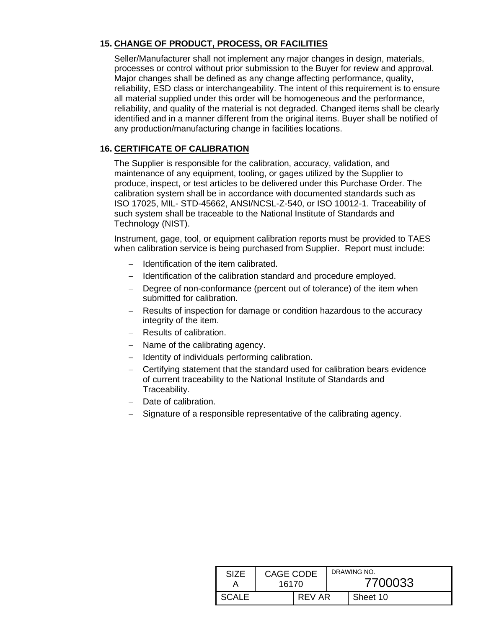# **15. CHANGE OF PRODUCT, PROCESS, OR FACILITIES**

Seller/Manufacturer shall not implement any major changes in design, materials, processes or control without prior submission to the Buyer for review and approval. Major changes shall be defined as any change affecting performance, quality, reliability, ESD class or interchangeability. The intent of this requirement is to ensure all material supplied under this order will be homogeneous and the performance, reliability, and quality of the material is not degraded. Changed items shall be clearly identified and in a manner different from the original items. Buyer shall be notified of any production/manufacturing change in facilities locations.

# **16. CERTIFICATE OF CALIBRATION**

The Supplier is responsible for the calibration, accuracy, validation, and maintenance of any equipment, tooling, or gages utilized by the Supplier to produce, inspect, or test articles to be delivered under this Purchase Order. The calibration system shall be in accordance with documented standards such as ISO 17025, MIL- STD-45662, ANSI/NCSL-Z-540, or ISO 10012-1. Traceability of such system shall be traceable to the National Institute of Standards and Technology (NIST).

Instrument, gage, tool, or equipment calibration reports must be provided to TAES when calibration service is being purchased from Supplier. Report must include:

- − Identification of the item calibrated.
- − Identification of the calibration standard and procedure employed.
- − Degree of non-conformance (percent out of tolerance) of the item when submitted for calibration.
- Results of inspection for damage or condition hazardous to the accuracy integrity of the item.
- − Results of calibration.
- − Name of the calibrating agency.
- − Identity of individuals performing calibration.
- − Certifying statement that the standard used for calibration bears evidence of current traceability to the National Institute of Standards and Traceability.
- − Date of calibration.
- Signature of a responsible representative of the calibrating agency.

| SI <sub>7</sub> F | CAGE CODE<br>16170 |        | DRAWING NO.<br>7700033 |          |  |
|-------------------|--------------------|--------|------------------------|----------|--|
| <b>SCALE</b>      |                    | REV AR |                        | Sheet 10 |  |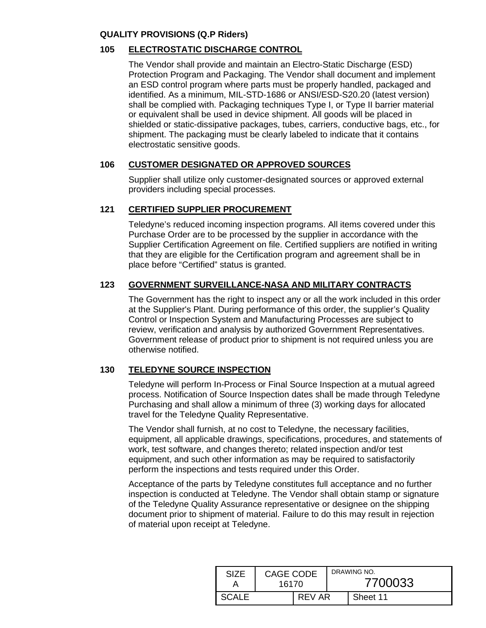### <span id="page-10-0"></span>**QUALITY PROVISIONS (Q.P Riders)**

### **105 ELECTROSTATIC DISCHARGE CONTROL**

The Vendor shall provide and maintain an Electro-Static Discharge (ESD) Protection Program and Packaging. The Vendor shall document and implement an ESD control program where parts must be properly handled, packaged and identified. As a minimum, MIL-STD-1686 or ANSI/ESD-S20.20 (latest version) shall be complied with. Packaging techniques Type I, or Type II barrier material or equivalent shall be used in device shipment. All goods will be placed in shielded or static-dissipative packages, tubes, carriers, conductive bags, etc., for shipment. The packaging must be clearly labeled to indicate that it contains electrostatic sensitive goods.

### **106 CUSTOMER DESIGNATED OR APPROVED SOURCES**

Supplier shall utilize only customer-designated sources or approved external providers including special processes.

#### **121 CERTIFIED SUPPLIER PROCUREMENT**

Teledyne's reduced incoming inspection programs. All items covered under this Purchase Order are to be processed by the supplier in accordance with the Supplier Certification Agreement on file. Certified suppliers are notified in writing that they are eligible for the Certification program and agreement shall be in place before "Certified" status is granted.

### **123 GOVERNMENT SURVEILLANCE-NASA AND MILITARY CONTRACTS**

The Government has the right to inspect any or all the work included in this order at the Supplier's Plant. During performance of this order, the supplier's Quality Control or Inspection System and Manufacturing Processes are subject to review, verification and analysis by authorized Government Representatives. Government release of product prior to shipment is not required unless you are otherwise notified.

### **130 TELEDYNE SOURCE INSPECTION**

Teledyne will perform In-Process or Final Source Inspection at a mutual agreed process. Notification of Source Inspection dates shall be made through Teledyne Purchasing and shall allow a minimum of three (3) working days for allocated travel for the Teledyne Quality Representative.

The Vendor shall furnish, at no cost to Teledyne, the necessary facilities, equipment, all applicable drawings, specifications, procedures, and statements of work, test software, and changes thereto; related inspection and/or test equipment, and such other information as may be required to satisfactorily perform the inspections and tests required under this Order.

Acceptance of the parts by Teledyne constitutes full acceptance and no further inspection is conducted at Teledyne. The Vendor shall obtain stamp or signature of the Teledyne Quality Assurance representative or designee on the shipping document prior to shipment of material. Failure to do this may result in rejection of material upon receipt at Teledyne.

| SIZF         | CAGE CODE<br>16170 |        |  | DRAWING NO.<br>7700033 |
|--------------|--------------------|--------|--|------------------------|
| <b>SCALE</b> |                    | REV AR |  | Sheet 11               |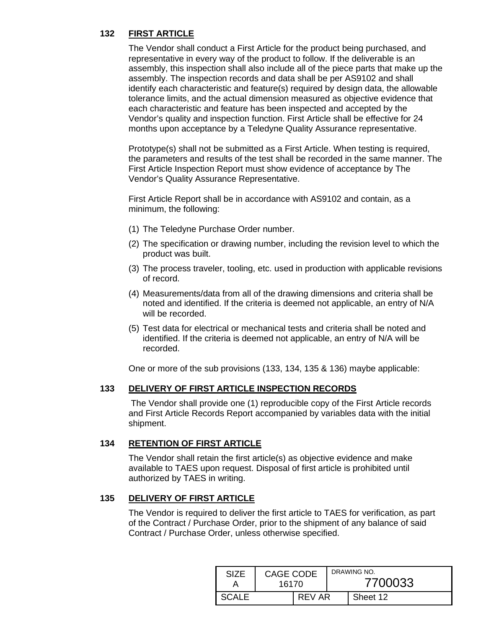# **132 FIRST ARTICLE**

The Vendor shall conduct a First Article for the product being purchased, and representative in every way of the product to follow. If the deliverable is an assembly, this inspection shall also include all of the piece parts that make up the assembly. The inspection records and data shall be per AS9102 and shall identify each characteristic and feature(s) required by design data, the allowable tolerance limits, and the actual dimension measured as objective evidence that each characteristic and feature has been inspected and accepted by the Vendor's quality and inspection function. First Article shall be effective for 24 months upon acceptance by a Teledyne Quality Assurance representative.

Prototype(s) shall not be submitted as a First Article. When testing is required, the parameters and results of the test shall be recorded in the same manner. The First Article Inspection Report must show evidence of acceptance by The Vendor's Quality Assurance Representative.

First Article Report shall be in accordance with AS9102 and contain, as a minimum, the following:

- (1) The Teledyne Purchase Order number.
- (2) The specification or drawing number, including the revision level to which the product was built.
- (3) The process traveler, tooling, etc. used in production with applicable revisions of record.
- (4) Measurements/data from all of the drawing dimensions and criteria shall be noted and identified. If the criteria is deemed not applicable, an entry of N/A will be recorded.
- (5) Test data for electrical or mechanical tests and criteria shall be noted and identified. If the criteria is deemed not applicable, an entry of N/A will be recorded.

One or more of the sub provisions (133, 134, 135 & 136) maybe applicable:

### **133 DELIVERY OF FIRST ARTICLE INSPECTION RECORDS**

The Vendor shall provide one (1) reproducible copy of the First Article records and First Article Records Report accompanied by variables data with the initial shipment.

### **134 RETENTION OF FIRST ARTICLE**

The Vendor shall retain the first article(s) as objective evidence and make available to TAES upon request. Disposal of first article is prohibited until authorized by TAES in writing.

### **135 DELIVERY OF FIRST ARTICLE**

The Vendor is required to deliver the first article to TAES for verification, as part of the Contract / Purchase Order, prior to the shipment of any balance of said Contract / Purchase Order, unless otherwise specified.

| <b>SIZE</b>  | CAGE CODE<br>16170 |        |  | DRAWING NO.<br>7700033 |
|--------------|--------------------|--------|--|------------------------|
| <b>SCALE</b> |                    | REV AR |  | Sheet 12               |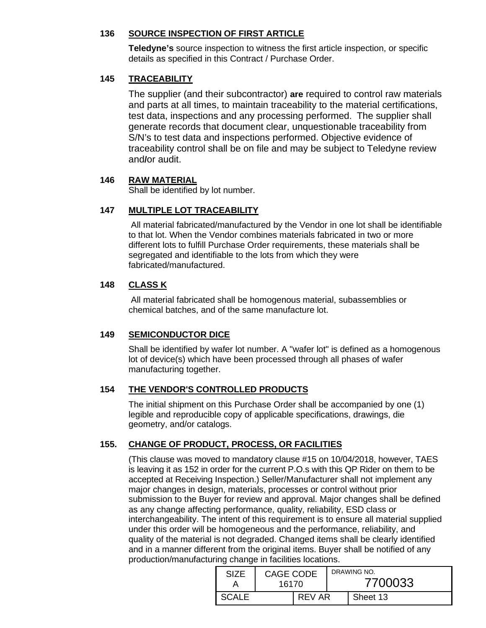### **136 SOURCE INSPECTION OF FIRST ARTICLE**

**Teledyne's** source inspection to witness the first article inspection, or specific details as specified in this Contract / Purchase Order.

## **145 TRACEABILITY**

The supplier (and their subcontractor) **are** required to control raw materials and parts at all times, to maintain traceability to the material certifications, test data, inspections and any processing performed. The supplier shall generate records that document clear, unquestionable traceability from S/N's to test data and inspections performed. Objective evidence of traceability control shall be on file and may be subject to Teledyne review and**/**or audit.

### **146 RAW MATERIAL**

Shall be identified by lot number.

# **147 MULTIPLE LOT TRACEABILITY**

All material fabricated/manufactured by the Vendor in one lot shall be identifiable to that lot. When the Vendor combines materials fabricated in two or more different lots to fulfill Purchase Order requirements, these materials shall be segregated and identifiable to the lots from which they were fabricated/manufactured.

### **148 CLASS K**

All material fabricated shall be homogenous material, subassemblies or chemical batches, and of the same manufacture lot.

### **149 SEMICONDUCTOR DICE**

Shall be identified by wafer lot number. A "wafer lot" is defined as a homogenous lot of device(s) which have been processed through all phases of wafer manufacturing together.

### **154 THE VENDOR'S CONTROLLED PRODUCTS**

The initial shipment on this Purchase Order shall be accompanied by one (1) legible and reproducible copy of applicable specifications, drawings, die geometry, and/or catalogs.

# **155. CHANGE OF PRODUCT, PROCESS, OR FACILITIES**

(This clause was moved to mandatory clause #15 on 10/04/2018, however, TAES is leaving it as 152 in order for the current P.O.s with this QP Rider on them to be accepted at Receiving Inspection.) Seller/Manufacturer shall not implement any major changes in design, materials, processes or control without prior submission to the Buyer for review and approval. Major changes shall be defined as any change affecting performance, quality, reliability, ESD class or interchangeability. The intent of this requirement is to ensure all material supplied under this order will be homogeneous and the performance, reliability, and quality of the material is not degraded. Changed items shall be clearly identified and in a manner different from the original items. Buyer shall be notified of any production/manufacturing change in facilities locations.

| SI7F         | <b>CAGE CODE</b><br>16170 |        |  | DRAWING NO.<br>7700033 |
|--------------|---------------------------|--------|--|------------------------|
| <b>SCALE</b> |                           | REV AR |  | Sheet 13               |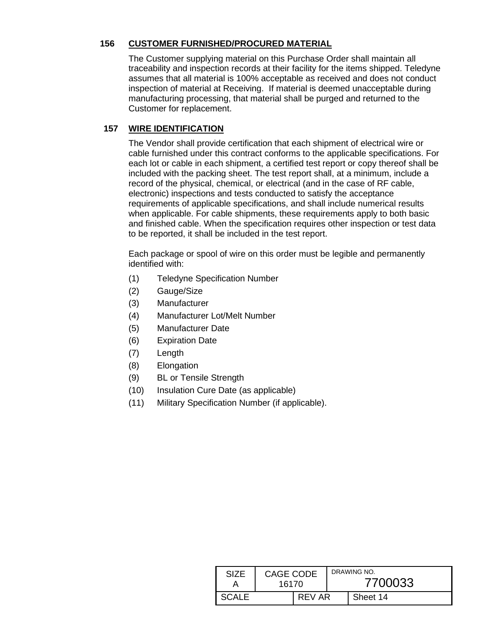### **156 CUSTOMER FURNISHED/PROCURED MATERIAL**

The Customer supplying material on this Purchase Order shall maintain all traceability and inspection records at their facility for the items shipped. Teledyne assumes that all material is 100% acceptable as received and does not conduct inspection of material at Receiving. If material is deemed unacceptable during manufacturing processing, that material shall be purged and returned to the Customer for replacement.

## **157 WIRE IDENTIFICATION**

The Vendor shall provide certification that each shipment of electrical wire or cable furnished under this contract conforms to the applicable specifications. For each lot or cable in each shipment, a certified test report or copy thereof shall be included with the packing sheet. The test report shall, at a minimum, include a record of the physical, chemical, or electrical (and in the case of RF cable, electronic) inspections and tests conducted to satisfy the acceptance requirements of applicable specifications, and shall include numerical results when applicable. For cable shipments, these requirements apply to both basic and finished cable. When the specification requires other inspection or test data to be reported, it shall be included in the test report.

Each package or spool of wire on this order must be legible and permanently identified with:

- (1) Teledyne Specification Number
- (2) Gauge/Size
- (3) Manufacturer
- (4) Manufacturer Lot/Melt Number
- (5) Manufacturer Date
- (6) Expiration Date
- (7) Length
- (8) Elongation
- (9) BL or Tensile Strength
- (10) Insulation Cure Date (as applicable)
- (11) Military Specification Number (if applicable).

| SIZF         | CAGE CODE<br>16170 |        |  | DRAWING NO.<br>7700033 |
|--------------|--------------------|--------|--|------------------------|
| <b>SCALE</b> |                    | RFV AR |  | Sheet 14               |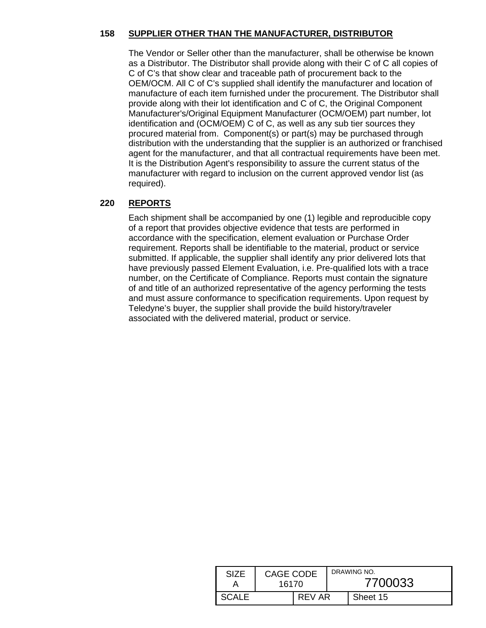### **158 SUPPLIER OTHER THAN THE MANUFACTURER, DISTRIBUTOR**

The Vendor or Seller other than the manufacturer, shall be otherwise be known as a Distributor. The Distributor shall provide along with their C of C all copies of C of C's that show clear and traceable path of procurement back to the OEM/OCM. All C of C's supplied shall identify the manufacturer and location of manufacture of each item furnished under the procurement. The Distributor shall provide along with their lot identification and C of C, the Original Component Manufacturer's/Original Equipment Manufacturer (OCM/OEM) part number, lot identification and (OCM/OEM) C of C, as well as any sub tier sources they procured material from. Component(s) or part(s) may be purchased through distribution with the understanding that the supplier is an authorized or franchised agent for the manufacturer, and that all contractual requirements have been met. It is the Distribution Agent's responsibility to assure the current status of the manufacturer with regard to inclusion on the current approved vendor list (as required).

#### **220 REPORTS**

Each shipment shall be accompanied by one (1) legible and reproducible copy of a report that provides objective evidence that tests are performed in accordance with the specification, element evaluation or Purchase Order requirement. Reports shall be identifiable to the material, product or service submitted. If applicable, the supplier shall identify any prior delivered lots that have previously passed Element Evaluation, i.e. Pre-qualified lots with a trace number, on the Certificate of Compliance. Reports must contain the signature of and title of an authorized representative of the agency performing the tests and must assure conformance to specification requirements. Upon request by Teledyne's buyer, the supplier shall provide the build history/traveler associated with the delivered material, product or service.

| <b>SIZE</b>  | <b>CAGE CODE</b><br>16170 |        | DRAWING NO.<br>7700033 |          |  |
|--------------|---------------------------|--------|------------------------|----------|--|
| <b>SCALE</b> |                           | REV AR |                        | Sheet 15 |  |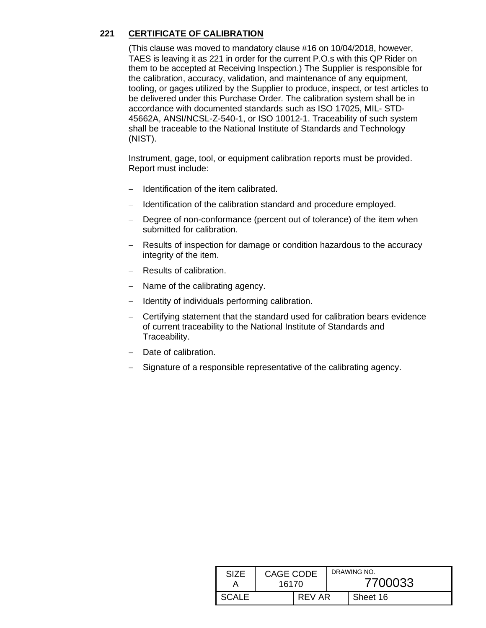## **221 CERTIFICATE OF CALIBRATION**

(This clause was moved to mandatory clause #16 on 10/04/2018, however, TAES is leaving it as 221 in order for the current P.O.s with this QP Rider on them to be accepted at Receiving Inspection.) The Supplier is responsible for the calibration, accuracy, validation, and maintenance of any equipment, tooling, or gages utilized by the Supplier to produce, inspect, or test articles to be delivered under this Purchase Order. The calibration system shall be in accordance with documented standards such as ISO 17025, MIL- STD-45662A, ANSI/NCSL-Z-540-1, or ISO 10012-1. Traceability of such system shall be traceable to the National Institute of Standards and Technology (NIST).

Instrument, gage, tool, or equipment calibration reports must be provided. Report must include:

- − Identification of the item calibrated.
- − Identification of the calibration standard and procedure employed.
- − Degree of non-conformance (percent out of tolerance) of the item when submitted for calibration.
- − Results of inspection for damage or condition hazardous to the accuracy integrity of the item.
- − Results of calibration.
- − Name of the calibrating agency.
- − Identity of individuals performing calibration.
- − Certifying statement that the standard used for calibration bears evidence of current traceability to the National Institute of Standards and Traceability.
- − Date of calibration.
- − Signature of a responsible representative of the calibrating agency.

| <b>SIZE</b>  | <b>CAGE CODE</b><br>16170 |        |  | DRAWING NO.<br>7700033 |
|--------------|---------------------------|--------|--|------------------------|
| <b>SCALE</b> |                           | REV AR |  | Sheet 16               |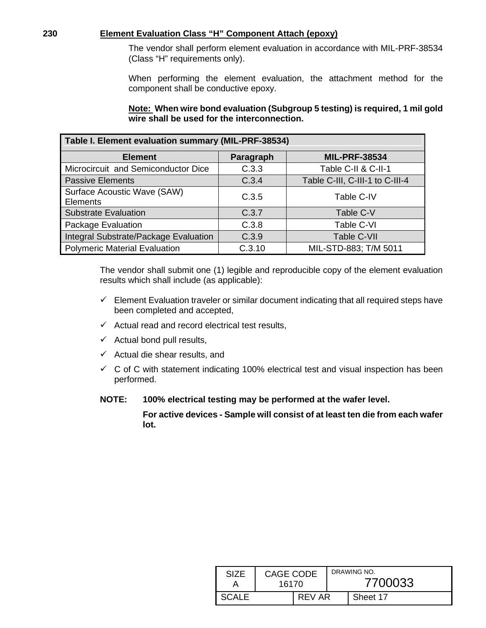#### **230 Element Evaluation Class "H" Component Attach (epoxy)**

The vendor shall perform element evaluation in accordance with MIL-PRF-38534 (Class "H" requirements only).

When performing the element evaluation, the attachment method for the component shall be conductive epoxy.

#### **Note: When wire bond evaluation (Subgroup 5 testing) is required, 1 mil gold wire shall be used for the interconnection.**

<span id="page-16-0"></span>

| Table I. Element evaluation summary (MIL-PRF-38534) |           |                                 |  |  |  |  |
|-----------------------------------------------------|-----------|---------------------------------|--|--|--|--|
| <b>Element</b>                                      | Paragraph | <b>MIL-PRF-38534</b>            |  |  |  |  |
| Microcircuit and Semiconductor Dice                 | C.3.3     | Table C-II & C-II-1             |  |  |  |  |
| <b>Passive Elements</b>                             | C.3.4     | Table C-III, C-III-1 to C-III-4 |  |  |  |  |
| Surface Acoustic Wave (SAW)<br><b>Elements</b>      | C.3.5     | Table C-IV                      |  |  |  |  |
| <b>Substrate Evaluation</b>                         | C.3.7     | Table C-V                       |  |  |  |  |
| Package Evaluation                                  | C.3.8     | Table C-VI                      |  |  |  |  |
| Integral Substrate/Package Evaluation               | C.3.9     | Table C-VII                     |  |  |  |  |
| <b>Polymeric Material Evaluation</b>                | C.3.10    | MIL-STD-883; T/M 5011           |  |  |  |  |

The vendor shall submit one (1) legible and reproducible copy of the element evaluation results which shall include (as applicable):

- $\checkmark$  Element Evaluation traveler or similar document indicating that all required steps have been completed and accepted,
- $\checkmark$  Actual read and record electrical test results,
- $\checkmark$  Actual bond pull results,
- $\checkmark$  Actual die shear results, and
- $\checkmark$  C of C with statement indicating 100% electrical test and visual inspection has been performed.

**NOTE: 100% electrical testing may be performed at the wafer level.**

**For active devices - Sample will consist of at least ten die from each wafer lot.**

| SIZF  | CAGE CODE<br>16170 |        | DRAWING NO.<br>7700033 |          |  |
|-------|--------------------|--------|------------------------|----------|--|
| SCALE |                    | REV AR |                        | Sheet 17 |  |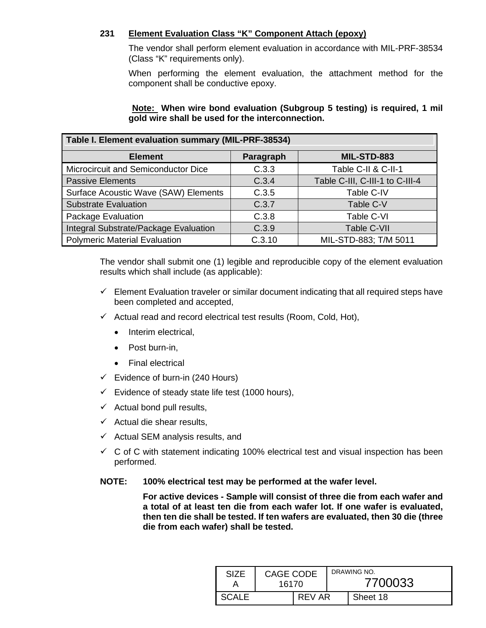### **231 Element Evaluation Class "K" Component Attach (epoxy)**

The vendor shall perform element evaluation in accordance with MIL-PRF-38534 (Class "K" requirements only).

When performing the element evaluation, the attachment method for the component shall be conductive epoxy.

| Note: When wire bond evaluation (Subgroup 5 testing) is required, 1 mil |  |  |
|-------------------------------------------------------------------------|--|--|
| gold wire shall be used for the interconnection.                        |  |  |

<span id="page-17-0"></span>

| Table I. Element evaluation summary (MIL-PRF-38534) |           |                                 |  |  |  |  |
|-----------------------------------------------------|-----------|---------------------------------|--|--|--|--|
| <b>Element</b>                                      | Paragraph | MIL-STD-883                     |  |  |  |  |
| Microcircuit and Semiconductor Dice                 | C.3.3     | Table C-II & C-II-1             |  |  |  |  |
| <b>Passive Elements</b>                             | C.3.4     | Table C-III, C-III-1 to C-III-4 |  |  |  |  |
| Surface Acoustic Wave (SAW) Elements                | C.3.5     | Table C-IV                      |  |  |  |  |
| <b>Substrate Evaluation</b>                         | C.3.7     | Table C-V                       |  |  |  |  |
| <b>Package Evaluation</b>                           | C.3.8     | Table C-VI                      |  |  |  |  |
| Integral Substrate/Package Evaluation               | C.3.9     | Table C-VII                     |  |  |  |  |
| <b>Polymeric Material Evaluation</b>                | C.3.10    | MIL-STD-883; T/M 5011           |  |  |  |  |

The vendor shall submit one (1) legible and reproducible copy of the element evaluation results which shall include (as applicable):

- $\checkmark$  Element Evaluation traveler or similar document indicating that all required steps have been completed and accepted,
- $\checkmark$  Actual read and record electrical test results (Room, Cold, Hot),
	- Interim electrical.
	- Post burn-in,
	- Final electrical
- $\checkmark$  Evidence of burn-in (240 Hours)
- $\checkmark$  Evidence of steady state life test (1000 hours),
- $\checkmark$  Actual bond pull results,
- $\checkmark$  Actual die shear results,
- $\checkmark$  Actual SEM analysis results, and
- $\checkmark$  C of C with statement indicating 100% electrical test and visual inspection has been performed.

### **NOTE: 100% electrical test may be performed at the wafer level.**

**For active devices - Sample will consist of three die from each wafer and a total of at least ten die from each wafer lot. If one wafer is evaluated, then ten die shall be tested. If ten wafers are evaluated, then 30 die (three die from each wafer) shall be tested.**

| SIZE  | CAGE CODE<br>16170 |        |  | DRAWING NO.<br>7700033 |
|-------|--------------------|--------|--|------------------------|
| SCALE |                    | REV AR |  | Sheet 18               |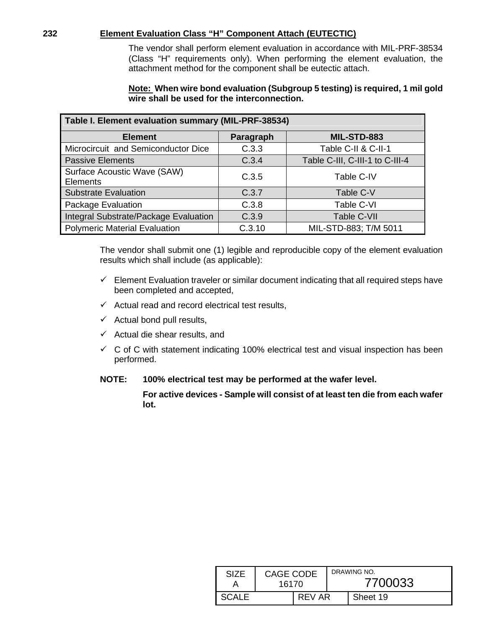#### **232 Element Evaluation Class "H" Component Attach (EUTECTIC)**

The vendor shall perform element evaluation in accordance with MIL-PRF-38534 (Class "H" requirements only). When performing the element evaluation, the attachment method for the component shall be eutectic attach.

#### **Note: When wire bond evaluation (Subgroup 5 testing) is required, 1 mil gold wire shall be used for the interconnection.**

<span id="page-18-0"></span>

| Table I. Element evaluation summary (MIL-PRF-38534) |           |                                 |  |  |  |  |
|-----------------------------------------------------|-----------|---------------------------------|--|--|--|--|
| <b>Element</b>                                      | Paragraph | MIL-STD-883                     |  |  |  |  |
| Microcircuit and Semiconductor Dice                 | C.3.3     | Table C-II & C-II-1             |  |  |  |  |
| <b>Passive Elements</b>                             | C.3.4     | Table C-III, C-III-1 to C-III-4 |  |  |  |  |
| Surface Acoustic Wave (SAW)<br><b>Elements</b>      | C.3.5     | Table C-IV                      |  |  |  |  |
| <b>Substrate Evaluation</b>                         | C.3.7     | Table C-V                       |  |  |  |  |
| Package Evaluation                                  | C.3.8     | Table C-VI                      |  |  |  |  |
| Integral Substrate/Package Evaluation               | C.3.9     | Table C-VII                     |  |  |  |  |
| <b>Polymeric Material Evaluation</b>                | C.3.10    | MIL-STD-883; T/M 5011           |  |  |  |  |

The vendor shall submit one (1) legible and reproducible copy of the element evaluation results which shall include (as applicable):

- $\checkmark$  Element Evaluation traveler or similar document indicating that all required steps have been completed and accepted,
- $\checkmark$  Actual read and record electrical test results,
- $\checkmark$  Actual bond pull results,
- $\checkmark$  Actual die shear results, and
- $\checkmark$  C of C with statement indicating 100% electrical test and visual inspection has been performed.

### **NOTE: 100% electrical test may be performed at the wafer level.**

**For active devices - Sample will consist of at least ten die from each wafer lot.**

| SIZF  | CAGE CODE<br>16170 |        | DRAWING NO.<br>7700033 |          |
|-------|--------------------|--------|------------------------|----------|
| SCALE |                    | REV AR |                        | Sheet 19 |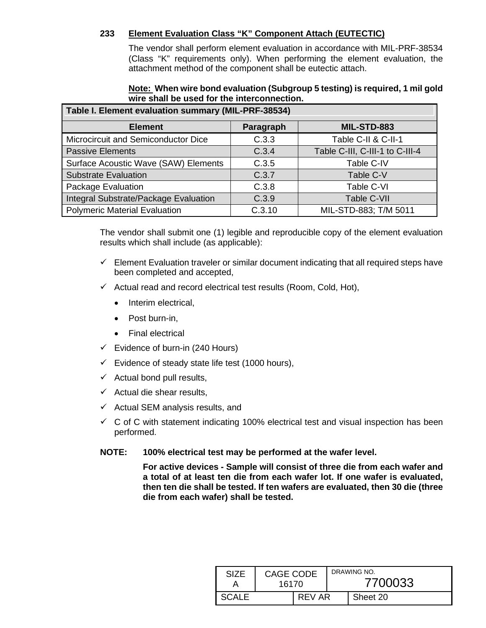### **233 Element Evaluation Class "K" Component Attach (EUTECTIC)**

The vendor shall perform element evaluation in accordance with MIL-PRF-38534 (Class "K" requirements only). When performing the element evaluation, the attachment method of the component shall be eutectic attach.

## **Note: When wire bond evaluation (Subgroup 5 testing) is required, 1 mil gold wire shall be used for the interconnection.**

<span id="page-19-0"></span>

| Table I. Element evaluation summary (MIL-PRF-38534) |           |                                 |  |  |  |  |  |
|-----------------------------------------------------|-----------|---------------------------------|--|--|--|--|--|
| <b>Element</b>                                      | Paragraph | <b>MIL-STD-883</b>              |  |  |  |  |  |
| Microcircuit and Semiconductor Dice                 | C.3.3     | Table C-II & C-II-1             |  |  |  |  |  |
| <b>Passive Elements</b>                             | C.3.4     | Table C-III, C-III-1 to C-III-4 |  |  |  |  |  |
| Surface Acoustic Wave (SAW) Elements                | C.3.5     | Table C-IV                      |  |  |  |  |  |
| <b>Substrate Evaluation</b>                         | C.3.7     | Table C-V                       |  |  |  |  |  |
| <b>Package Evaluation</b>                           | C.3.8     | Table C-VI                      |  |  |  |  |  |
| Integral Substrate/Package Evaluation               | C.3.9     | Table C-VII                     |  |  |  |  |  |
| Polymeric Material Evaluation                       | C.3.10    | MIL-STD-883; T/M 5011           |  |  |  |  |  |

The vendor shall submit one (1) legible and reproducible copy of the element evaluation results which shall include (as applicable):

- $\checkmark$  Element Evaluation traveler or similar document indicating that all required steps have been completed and accepted,
- $\checkmark$  Actual read and record electrical test results (Room, Cold, Hot),
	- Interim electrical,
	- Post burn-in,
	- Final electrical
- $\checkmark$  Evidence of burn-in (240 Hours)
- $\checkmark$  Evidence of steady state life test (1000 hours),
- $\checkmark$  Actual bond pull results,
- $\checkmark$  Actual die shear results,
- $\checkmark$  Actual SEM analysis results, and
- $\checkmark$  C of C with statement indicating 100% electrical test and visual inspection has been performed.
- **NOTE: 100% electrical test may be performed at the wafer level.**

**For active devices - Sample will consist of three die from each wafer and a total of at least ten die from each wafer lot. If one wafer is evaluated, then ten die shall be tested. If ten wafers are evaluated, then 30 die (three die from each wafer) shall be tested.**

| SIZF   | CAGE CODE<br>16170 |        |  | DRAWING NO.<br>7700033 |
|--------|--------------------|--------|--|------------------------|
| -SCALE |                    | REV AR |  | Sheet 20               |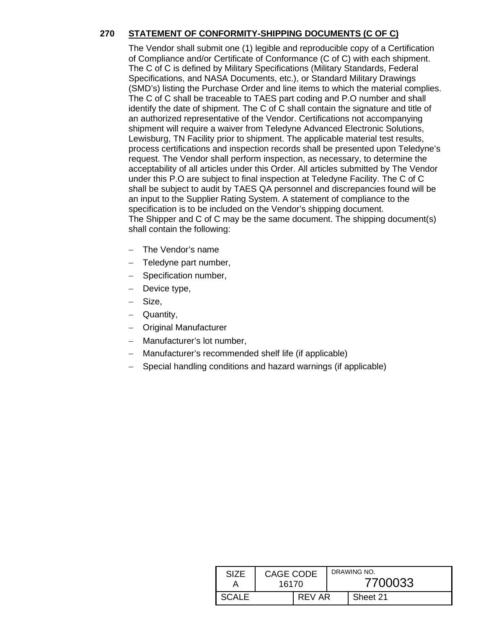# **270 STATEMENT OF CONFORMITY-SHIPPING DOCUMENTS (C OF C)**

The Vendor shall submit one (1) legible and reproducible copy of a Certification of Compliance and/or Certificate of Conformance (C of C) with each shipment. The C of C is defined by Military Specifications (Military Standards, Federal Specifications, and NASA Documents, etc.), or Standard Military Drawings (SMD's) listing the Purchase Order and line items to which the material complies. The C of C shall be traceable to TAES part coding and P.O number and shall identify the date of shipment. The C of C shall contain the signature and title of an authorized representative of the Vendor. Certifications not accompanying shipment will require a waiver from Teledyne Advanced Electronic Solutions, Lewisburg, TN Facility prior to shipment. The applicable material test results, process certifications and inspection records shall be presented upon Teledyne's request. The Vendor shall perform inspection, as necessary, to determine the acceptability of all articles under this Order. All articles submitted by The Vendor under this P.O are subject to final inspection at Teledyne Facility. The C of C shall be subject to audit by TAES QA personnel and discrepancies found will be an input to the Supplier Rating System. A statement of compliance to the specification is to be included on the Vendor's shipping document. The Shipper and C of C may be the same document. The shipping document(s) shall contain the following:

- The Vendor's name
- − Teledyne part number,
- − Specification number,
- Device type,
- Size,
- Quantity,
- − Original Manufacturer
- − Manufacturer's lot number,
- Manufacturer's recommended shelf life (if applicable)
- Special handling conditions and hazard warnings (if applicable)

| SIZF | <b>CAGE CODE</b><br>16170 |        | DRAWING NO.<br>7700033 |          |
|------|---------------------------|--------|------------------------|----------|
|      |                           | REV AR |                        | Sheet 21 |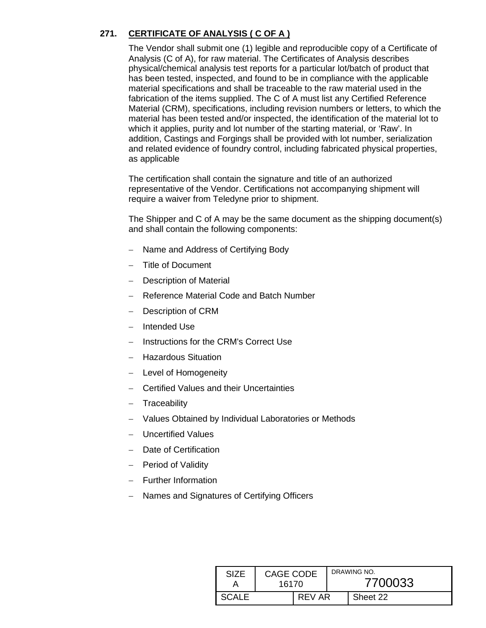# **271. CERTIFICATE OF ANALYSIS ( C OF A )**

The Vendor shall submit one (1) legible and reproducible copy of a Certificate of Analysis (C of A), for raw material. The Certificates of Analysis describes physical/chemical analysis test reports for a particular lot/batch of product that has been tested, inspected, and found to be in compliance with the applicable material specifications and shall be traceable to the raw material used in the fabrication of the items supplied. The C of A must list any Certified Reference Material (CRM), specifications, including revision numbers or letters, to which the material has been tested and/or inspected, the identification of the material lot to which it applies, purity and lot number of the starting material, or 'Raw'. In addition, Castings and Forgings shall be provided with lot number, serialization and related evidence of foundry control, including fabricated physical properties, as applicable

The certification shall contain the signature and title of an authorized representative of the Vendor. Certifications not accompanying shipment will require a waiver from Teledyne prior to shipment.

The Shipper and C of A may be the same document as the shipping document(s) and shall contain the following components:

- − Name and Address of Certifying Body
- − Title of Document
- Description of Material
- − Reference Material Code and Batch Number
- Description of CRM
- − Intended Use
- − Instructions for the CRM's Correct Use
- − Hazardous Situation
- − Level of Homogeneity
- − Certified Values and their Uncertainties
- − Traceability
- − Values Obtained by Individual Laboratories or Methods
- − Uncertified Values
- Date of Certification
- − Period of Validity
- − Further Information
- Names and Signatures of Certifying Officers

| SIZF  | CAGE CODE<br>16170 |        | DRAWING NO.<br>7700033 |          |
|-------|--------------------|--------|------------------------|----------|
| SCALE |                    | REV AR |                        | Sheet 22 |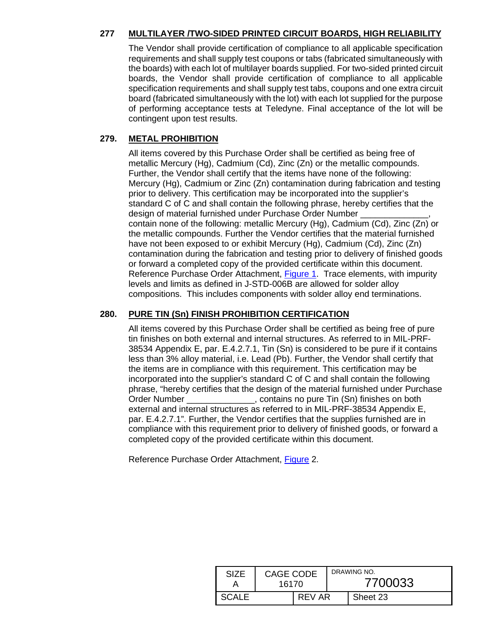# **277 MULTILAYER /TWO-SIDED PRINTED CIRCUIT BOARDS, HIGH RELIABILITY**

The Vendor shall provide certification of compliance to all applicable specification requirements and shall supply test coupons or tabs (fabricated simultaneously with the boards) with each lot of multilayer boards supplied. For two-sided printed circuit boards, the Vendor shall provide certification of compliance to all applicable specification requirements and shall supply test tabs, coupons and one extra circuit board (fabricated simultaneously with the lot) with each lot supplied for the purpose of performing acceptance tests at Teledyne. Final acceptance of the lot will be contingent upon test results.

### **279. METAL PROHIBITION**

All items covered by this Purchase Order shall be certified as being free of metallic Mercury (Hg), Cadmium (Cd), Zinc (Zn) or the metallic compounds. Further, the Vendor shall certify that the items have none of the following: Mercury (Hg), Cadmium or Zinc (Zn) contamination during fabrication and testing prior to delivery. This certification may be incorporated into the supplier's standard C of C and shall contain the following phrase, hereby certifies that the design of material furnished under Purchase Order Number contain none of the following: metallic Mercury (Hg), Cadmium (Cd), Zinc (Zn) or the metallic compounds. Further the Vendor certifies that the material furnished have not been exposed to or exhibit Mercury (Hg), Cadmium (Cd), Zinc (Zn) contamination during the fabrication and testing prior to delivery of finished goods or forward a completed copy of the provided certificate within this document. Reference Purchase Order Attachment, [Figure 1.](#page-25-0) Trace elements, with impurity levels and limits as defined in J-STD-006B are allowed for solder alloy compositions. This includes components with solder alloy end terminations.

# **280. PURE TIN (Sn) FINISH PROHIBITION CERTIFICATION**

All items covered by this Purchase Order shall be certified as being free of pure tin finishes on both external and internal structures. As referred to in MIL-PRF-38534 Appendix E, par. E.4.2.7.1, Tin (Sn) is considered to be pure if it contains less than 3% alloy material, i.e. Lead (Pb). Further, the Vendor shall certify that the items are in compliance with this requirement. This certification may be incorporated into the supplier's standard C of C and shall contain the following phrase, "hereby certifies that the design of the material furnished under Purchase Order Number enterstanding the contains no pure Tin (Sn) finishes on both external and internal structures as referred to in MIL-PRF-38534 Appendix E, par. E.4.2.7.1". Further, the Vendor certifies that the supplies furnished are in compliance with this requirement prior to delivery of finished goods, or forward a completed copy of the provided certificate within this document.

Reference Purchase Order Attachment, [Figure](#page-26-0) 2.

| SIZF         | CAGE CODE<br>16170 |        | DRAWING NO.<br>7700033 |          |
|--------------|--------------------|--------|------------------------|----------|
| <b>SCALE</b> |                    | REV AR |                        | Sheet 23 |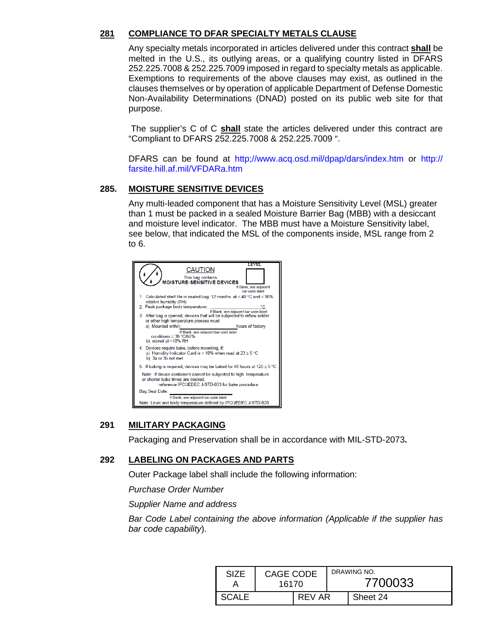### **281 COMPLIANCE TO DFAR SPECIALTY METALS CLAUSE**

Any specialty metals incorporated in articles delivered under this contract **shall** be melted in the U.S., its outlying areas, or a qualifying country listed in DFARS 252.225.7008 & 252.225.7009 imposed in regard to specialty metals as applicable. Exemptions to requirements of the above clauses may exist, as outlined in the clauses themselves or by operation of applicable Department of Defense Domestic Non-Availability Determinations (DNAD) posted on its public web site for that purpose.

The supplier's C of C **shall** state the articles delivered under this contract are "Compliant to DFARS 252.225.7008 & 252.225.7009 ".

DFARS can be found at http;//www.acq.osd.mil/dpap/dars/index.htm or http:// farsite.hill.af.mil/VFDARa.htm

#### **285. MOISTURE SENSITIVE DEVICES**

Any multi-leaded component that has a Moisture Sensitivity Level (MSL) greater than 1 must be packed in a sealed Moisture Barrier Bag (MBB) with a desiccant and moisture level indicator. The MBB must have a Moisture Sensitivity label, see below, that indicated the MSL of the components inside, MSL range from 2 to 6.



#### **291 MILITARY PACKAGING**

Packaging and Preservation shall be in accordance with MIL-STD-2073**.**

#### **292 LABELING ON PACKAGES AND PARTS**

Outer Package label shall include the following information:

*Purchase Order Number*

*Supplier Name and address*

*Bar Code Label containing the above information (Applicable if the supplier has bar code capability*).

| <b>SIZE</b> | <b>CAGE CODE</b><br>16170 |        |  | DRAWING NO.<br>7700033 |
|-------------|---------------------------|--------|--|------------------------|
| SCALE       |                           | REV AR |  | Sheet 24               |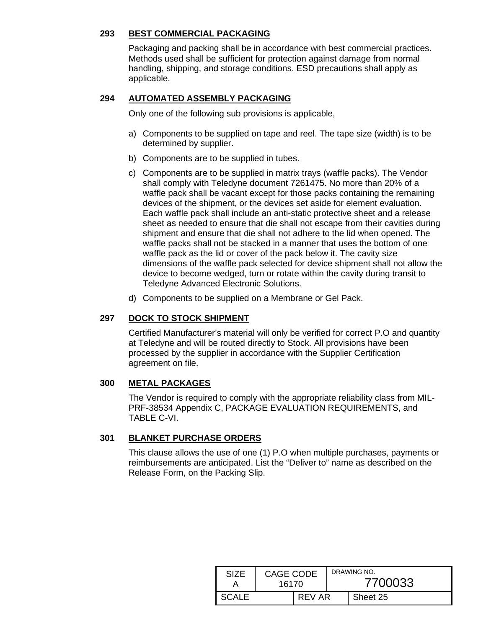#### **293 BEST COMMERCIAL PACKAGING**

Packaging and packing shall be in accordance with best commercial practices. Methods used shall be sufficient for protection against damage from normal handling, shipping, and storage conditions. ESD precautions shall apply as applicable.

#### **294 AUTOMATED ASSEMBLY PACKAGING**

Only one of the following sub provisions is applicable,

- a) Components to be supplied on tape and reel. The tape size (width) is to be determined by supplier.
- b) Components are to be supplied in tubes.
- c) Components are to be supplied in matrix trays (waffle packs). The Vendor shall comply with Teledyne document 7261475. No more than 20% of a waffle pack shall be vacant except for those packs containing the remaining devices of the shipment, or the devices set aside for element evaluation. Each waffle pack shall include an anti-static protective sheet and a release sheet as needed to ensure that die shall not escape from their cavities during shipment and ensure that die shall not adhere to the lid when opened. The waffle packs shall not be stacked in a manner that uses the bottom of one waffle pack as the lid or cover of the pack below it. The cavity size dimensions of the waffle pack selected for device shipment shall not allow the device to become wedged, turn or rotate within the cavity during transit to Teledyne Advanced Electronic Solutions.
- d) Components to be supplied on a Membrane or Gel Pack.

### **297 DOCK TO STOCK SHIPMENT**

Certified Manufacturer's material will only be verified for correct P.O and quantity at Teledyne and will be routed directly to Stock. All provisions have been processed by the supplier in accordance with the Supplier Certification agreement on file.

### **300 METAL PACKAGES**

The Vendor is required to comply with the appropriate reliability class from MIL-PRF-38534 Appendix C, PACKAGE EVALUATION REQUIREMENTS, and TABLE C-VI.

### **301 BLANKET PURCHASE ORDERS**

This clause allows the use of one (1) P.O when multiple purchases, payments or reimbursements are anticipated. List the "Deliver to" name as described on the Release Form, on the Packing Slip.

| <b>SIZE</b> | CAGE CODE<br>16170 |        | DRAWING NO.<br>7700033 |          |  |
|-------------|--------------------|--------|------------------------|----------|--|
| CALE        |                    | REV AR |                        | Sheet 25 |  |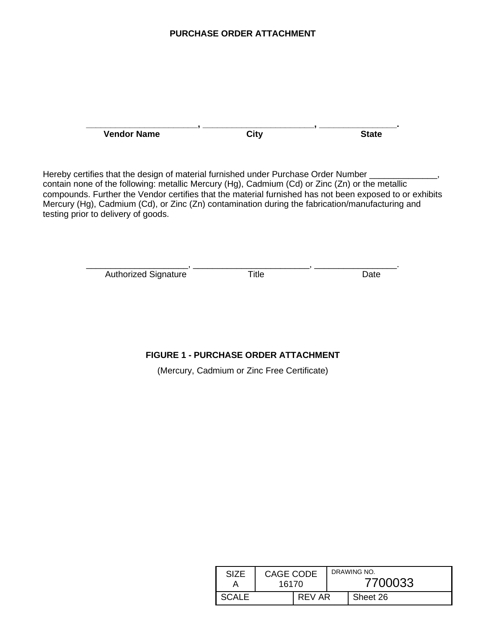#### **PURCHASE ORDER ATTACHMENT**

**\_\_\_\_\_\_\_\_\_\_\_\_\_\_\_\_\_\_\_\_\_\_\_, \_\_\_\_\_\_\_\_\_\_\_\_\_\_\_\_\_\_\_\_\_\_\_, \_\_\_\_\_\_\_\_\_\_\_\_\_\_\_\_. Vendor Name City State**

Hereby certifies that the design of material furnished under Purchase Order Number \_ contain none of the following: metallic Mercury (Hg), Cadmium (Cd) or Zinc (Zn) or the metallic compounds. Further the Vendor certifies that the material furnished has not been exposed to or exhibits Mercury (Hg), Cadmium (Cd), or Zinc (Zn) contamination during the fabrication/manufacturing and testing prior to delivery of goods.

> <span id="page-25-0"></span>\_\_\_\_\_\_\_\_\_\_\_\_\_\_\_\_\_\_\_\_\_, \_\_\_\_\_\_\_\_\_\_\_\_\_\_\_\_\_\_\_\_\_\_\_\_, \_\_\_\_\_\_\_\_\_\_\_\_\_\_\_\_\_. Authorized Signature Title **The Case Contract Contract Contract Contract Contract Contract Contract Contract Contract Contract Contract Contract Contract Contract Contract Contract Contract Contract Contract Contract Contr**

# **FIGURE 1 - PURCHASE ORDER ATTACHMENT**

(Mercury, Cadmium or Zinc Free Certificate)

| SIZE         | CAGE CODE<br>16170 |        | DRAWING NO.<br>7700033 |  |
|--------------|--------------------|--------|------------------------|--|
| <b>SCALE</b> |                    | REV AR | Sheet 26               |  |